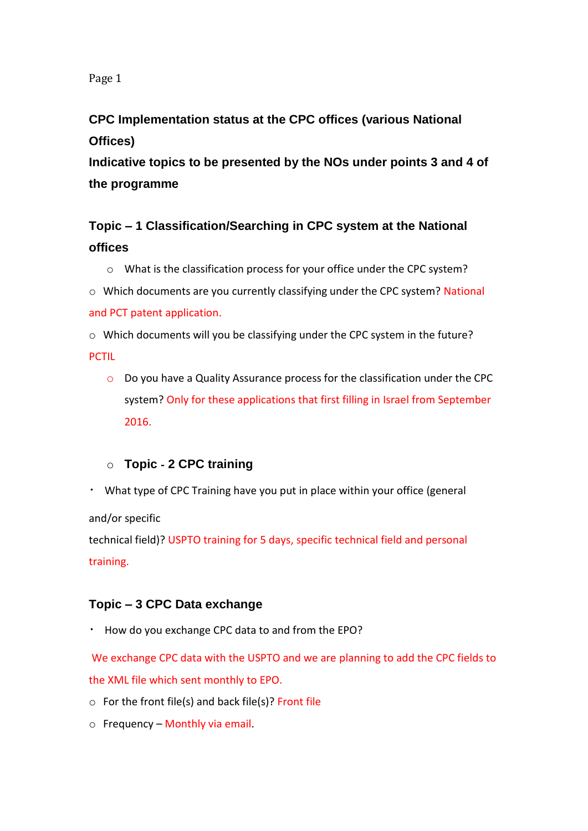Page 1

## **CPC Implementation status at the CPC offices (various National Offices)**

**Indicative topics to be presented by the NOs under points 3 and 4 of the programme**

# **Topic – 1 Classification/Searching in CPC system at the National offices**

o What is the classification process for your office under the CPC system?

o Which documents are you currently classifying under the CPC system? National and PCT patent application.

o Which documents will you be classifying under the CPC system in the future? **PCTIL** 

o Do you have a Quality Assurance process for the classification under the CPC system? Only for these applications that first filling in Israel from September 2016.

### o **Topic** ‐ **2 CPC training**

What type of CPC Training have you put in place within your office (general

and/or specific

technical field)? USPTO training for 5 days, specific technical field and personal training.

### **Topic – 3 CPC Data exchange**

How do you exchange CPC data to and from the EPO?

We exchange CPC data with the USPTO and we are planning to add the CPC fields to the XML file which sent monthly to EPO.

- $\circ$  For the front file(s) and back file(s)? Front file
- $\circ$  Frequency Monthly via email.